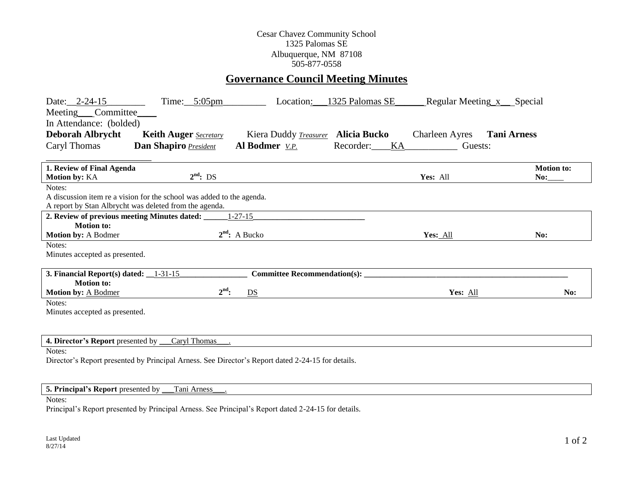## Cesar Chavez Community School 1325 Palomas SE Albuquerque, NM 87108 505-877-0558

# **Governance Council Meeting Minutes**

| Date: 2-24-15<br>Meeting <sub>Committee</sub><br>In Attendance: (bolded)                                                                  | Time: $5:05$ pm              | Location:             | 1325 Palomas SE     | Regular Meeting x __ Special |                          |
|-------------------------------------------------------------------------------------------------------------------------------------------|------------------------------|-----------------------|---------------------|------------------------------|--------------------------|
| <b>Deborah Albrycht</b>                                                                                                                   | <b>Keith Auger</b> Secretary | Kiera Duddy Treasurer | <b>Alicia Bucko</b> | <b>Charleen Ayres</b>        | <b>Tani Arness</b>       |
| Caryl Thomas                                                                                                                              | Dan Shapiro President        | Al Bodmer V.P.        | Recorder:<br>KA     | Guests:                      |                          |
| 1. Review of Final Agenda<br><b>Motion by: KA</b>                                                                                         | $2^{nd}$ : DS                |                       |                     | Yes: All                     | <b>Motion to:</b><br>No: |
| Notes:<br>A discussion item re a vision for the school was added to the agenda.<br>A report by Stan Albrycht was deleted from the agenda. |                              |                       |                     |                              |                          |
| 2. Review of previous meeting Minutes dated:                                                                                              |                              | $1 - 27 - 15$         |                     |                              |                          |
| <b>Motion to:</b><br>Motion by: A Bodmer                                                                                                  |                              | $2^{nd}$ : A Bucko    |                     | Yes: All                     | No:                      |
| Notes:<br>Minutes accepted as presented.                                                                                                  |                              |                       |                     |                              |                          |
| <b>Committee Recommendation(s):</b><br>3. Financial Report(s) dated: $\_\_1-31-15$                                                        |                              |                       |                     |                              |                          |
| <b>Motion to:</b><br>Motion by: A Bodmer                                                                                                  | $2^{\text{nd}}$ :            | DS                    |                     | Yes: All                     | No:                      |
| Notes:                                                                                                                                    |                              |                       |                     |                              |                          |
| Minutes accepted as presented.                                                                                                            |                              |                       |                     |                              |                          |
| Caryl Thomas<br>4. Director's Report presented by                                                                                         |                              |                       |                     |                              |                          |
| Notes:                                                                                                                                    |                              |                       |                     |                              |                          |

Director's Report presented by Principal Arness. See Director's Report dated 2-24-15 for details.

## **5. Principal's Report** presented by \_\_\_Tani Arness\_\_\_.

#### Notes:

Principal's Report presented by Principal Arness. See Principal's Report dated 2-24-15 for details.